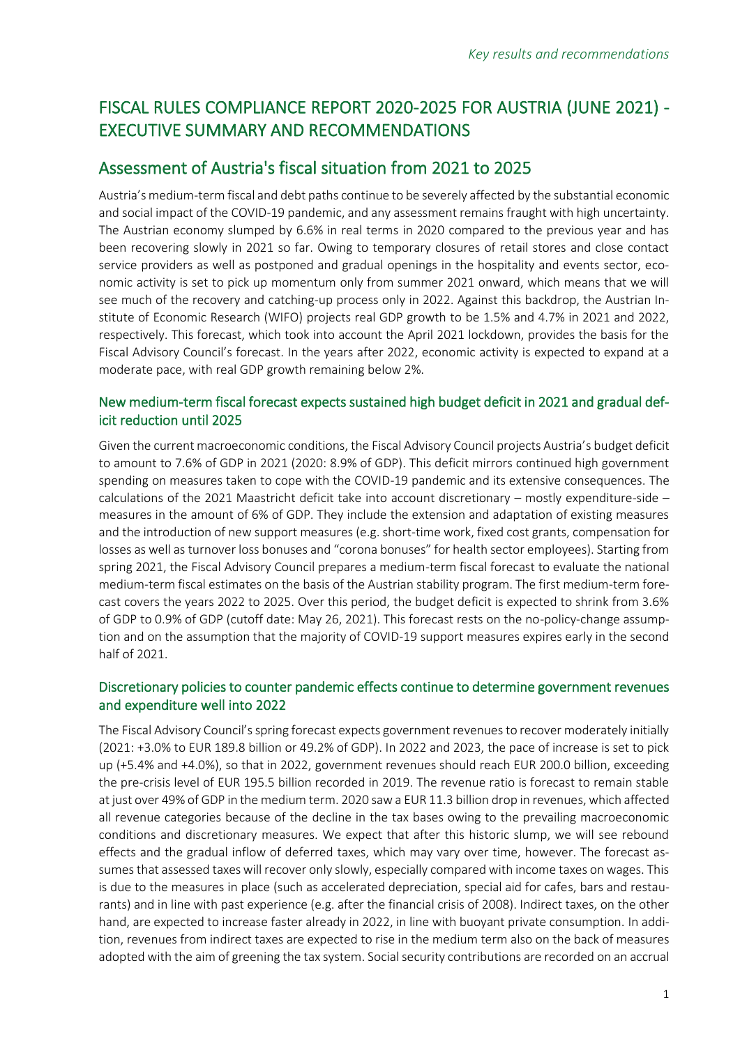# FISCAL RULES COMPLIANCE REPORT 2020-2025 FOR AUSTRIA (JUNE 2021) - EXECUTIVE SUMMARY AND RECOMMENDATIONS

## Assessment of Austria's fiscal situation from 2021 to 2025

Austria's medium-term fiscal and debt paths continue to be severely affected by the substantial economic and social impact of the COVID-19 pandemic, and any assessment remains fraught with high uncertainty. The Austrian economy slumped by 6.6% in real terms in 2020 compared to the previous year and has been recovering slowly in 2021 so far. Owing to temporary closures of retail stores and close contact service providers as well as postponed and gradual openings in the hospitality and events sector, economic activity is set to pick up momentum only from summer 2021 onward, which means that we will see much of the recovery and catching-up process only in 2022. Against this backdrop, the Austrian Institute of Economic Research (WIFO) projects real GDP growth to be 1.5% and 4.7% in 2021 and 2022, respectively. This forecast, which took into account the April 2021 lockdown, provides the basis for the Fiscal Advisory Council's forecast. In the years after 2022, economic activity is expected to expand at a moderate pace, with real GDP growth remaining below 2%.

## New medium-term fiscal forecast expects sustained high budget deficit in 2021 and gradual deficit reduction until 2025

Given the current macroeconomic conditions, the Fiscal Advisory Council projects Austria's budget deficit to amount to 7.6% of GDP in 2021 (2020: 8.9% of GDP). This deficit mirrors continued high government spending on measures taken to cope with the COVID-19 pandemic and its extensive consequences. The calculations of the 2021 Maastricht deficit take into account discretionary – mostly expenditure-side – measures in the amount of 6% of GDP. They include the extension and adaptation of existing measures and the introduction of new support measures (e.g. short-time work, fixed cost grants, compensation for losses as well as turnover loss bonuses and "corona bonuses" for health sector employees). Starting from spring 2021, the Fiscal Advisory Council prepares a medium-term fiscal forecast to evaluate the national medium-term fiscal estimates on the basis of the Austrian stability program. The first medium-term forecast covers the years 2022 to 2025. Over this period, the budget deficit is expected to shrink from 3.6% of GDP to 0.9% of GDP (cutoff date: May 26, 2021). This forecast rests on the no-policy-change assumption and on the assumption that the majority of COVID-19 support measures expires early in the second half of 2021.

## Discretionary policies to counter pandemic effects continue to determine government revenues and expenditure well into 2022

The Fiscal Advisory Council's spring forecast expects government revenues to recover moderately initially (2021: +3.0% to EUR 189.8 billion or 49.2% of GDP). In 2022 and 2023, the pace of increase is set to pick up (+5.4% and +4.0%), so that in 2022, government revenues should reach EUR 200.0 billion, exceeding the pre-crisis level of EUR 195.5 billion recorded in 2019. The revenue ratio is forecast to remain stable at just over 49% of GDP in the medium term. 2020 saw a EUR 11.3 billion drop in revenues, which affected all revenue categories because of the decline in the tax bases owing to the prevailing macroeconomic conditions and discretionary measures. We expect that after this historic slump, we will see rebound effects and the gradual inflow of deferred taxes, which may vary over time, however. The forecast assumes that assessed taxes will recover only slowly, especially compared with income taxes on wages. This is due to the measures in place (such as accelerated depreciation, special aid for cafes, bars and restaurants) and in line with past experience (e.g. after the financial crisis of 2008). Indirect taxes, on the other hand, are expected to increase faster already in 2022, in line with buoyant private consumption. In addition, revenues from indirect taxes are expected to rise in the medium term also on the back of measures adopted with the aim of greening the tax system. Social security contributions are recorded on an accrual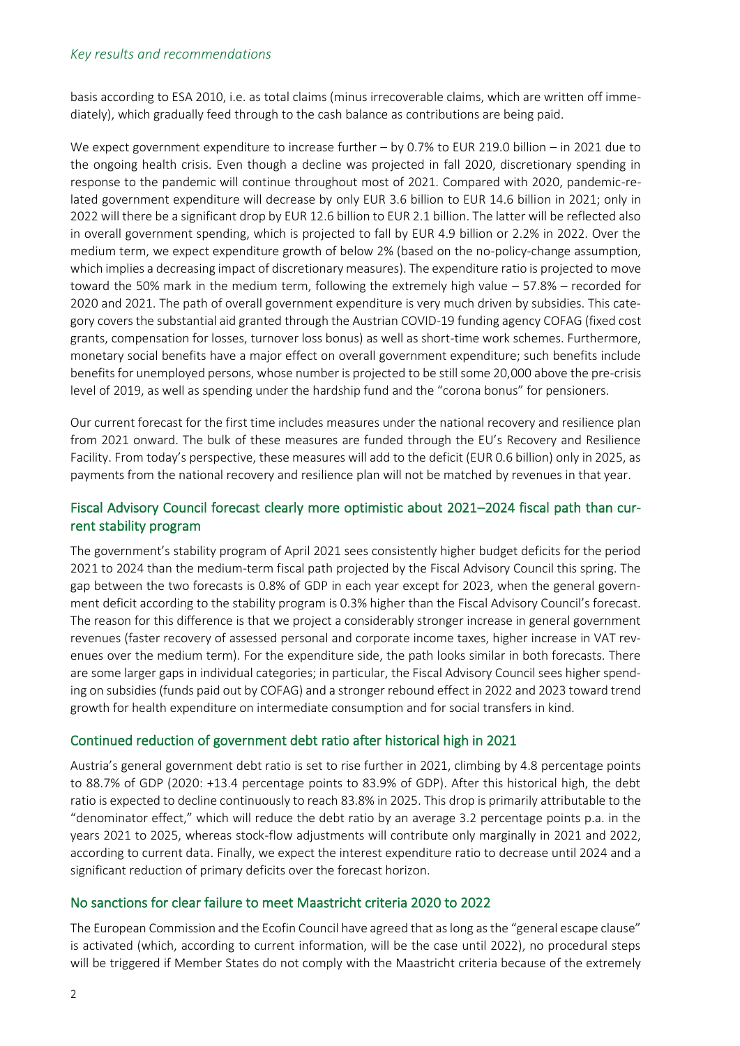#### *Key results and recommendations*

basis according to ESA 2010, i.e. as total claims (minus irrecoverable claims, which are written off immediately), which gradually feed through to the cash balance as contributions are being paid.

We expect government expenditure to increase further – by 0.7% to EUR 219.0 billion – in 2021 due to the ongoing health crisis. Even though a decline was projected in fall 2020, discretionary spending in response to the pandemic will continue throughout most of 2021. Compared with 2020, pandemic-related government expenditure will decrease by only EUR 3.6 billion to EUR 14.6 billion in 2021; only in 2022 will there be a significant drop by EUR 12.6 billion to EUR 2.1 billion. The latter will be reflected also in overall government spending, which is projected to fall by EUR 4.9 billion or 2.2% in 2022. Over the medium term, we expect expenditure growth of below 2% (based on the no-policy-change assumption, which implies a decreasing impact of discretionary measures). The expenditure ratio is projected to move toward the 50% mark in the medium term, following the extremely high value – 57.8% – recorded for 2020 and 2021. The path of overall government expenditure is very much driven by subsidies. This category covers the substantial aid granted through the Austrian COVID-19 funding agency COFAG (fixed cost grants, compensation for losses, turnover loss bonus) as well as short-time work schemes. Furthermore, monetary social benefits have a major effect on overall government expenditure; such benefits include benefits for unemployed persons, whose number is projected to be still some 20,000 above the pre-crisis level of 2019, as well as spending under the hardship fund and the "corona bonus" for pensioners.

Our current forecast for the first time includes measures under the national recovery and resilience plan from 2021 onward. The bulk of these measures are funded through the EU's Recovery and Resilience Facility. From today's perspective, these measures will add to the deficit (EUR 0.6 billion) only in 2025, as payments from the national recovery and resilience plan will not be matched by revenues in that year.

### Fiscal Advisory Council forecast clearly more optimistic about 2021–2024 fiscal path than current stability program

The government's stability program of April 2021 sees consistently higher budget deficits for the period 2021 to 2024 than the medium-term fiscal path projected by the Fiscal Advisory Council this spring. The gap between the two forecasts is 0.8% of GDP in each year except for 2023, when the general government deficit according to the stability program is 0.3% higher than the Fiscal Advisory Council's forecast. The reason for this difference is that we project a considerably stronger increase in general government revenues (faster recovery of assessed personal and corporate income taxes, higher increase in VAT revenues over the medium term). For the expenditure side, the path looks similar in both forecasts. There are some larger gaps in individual categories; in particular, the Fiscal Advisory Council sees higher spending on subsidies (funds paid out by COFAG) and a stronger rebound effect in 2022 and 2023 toward trend growth for health expenditure on intermediate consumption and for social transfers in kind.

#### Continued reduction of government debt ratio after historical high in 2021

Austria's general government debt ratio is set to rise further in 2021, climbing by 4.8 percentage points to 88.7% of GDP (2020: +13.4 percentage points to 83.9% of GDP). After this historical high, the debt ratio is expected to decline continuously to reach 83.8% in 2025. This drop is primarily attributable to the "denominator effect," which will reduce the debt ratio by an average 3.2 percentage points p.a. in the years 2021 to 2025, whereas stock-flow adjustments will contribute only marginally in 2021 and 2022, according to current data. Finally, we expect the interest expenditure ratio to decrease until 2024 and a significant reduction of primary deficits over the forecast horizon.

#### No sanctions for clear failure to meet Maastricht criteria 2020 to 2022

The European Commission and the Ecofin Council have agreed that as long as the "general escape clause" is activated (which, according to current information, will be the case until 2022), no procedural steps will be triggered if Member States do not comply with the Maastricht criteria because of the extremely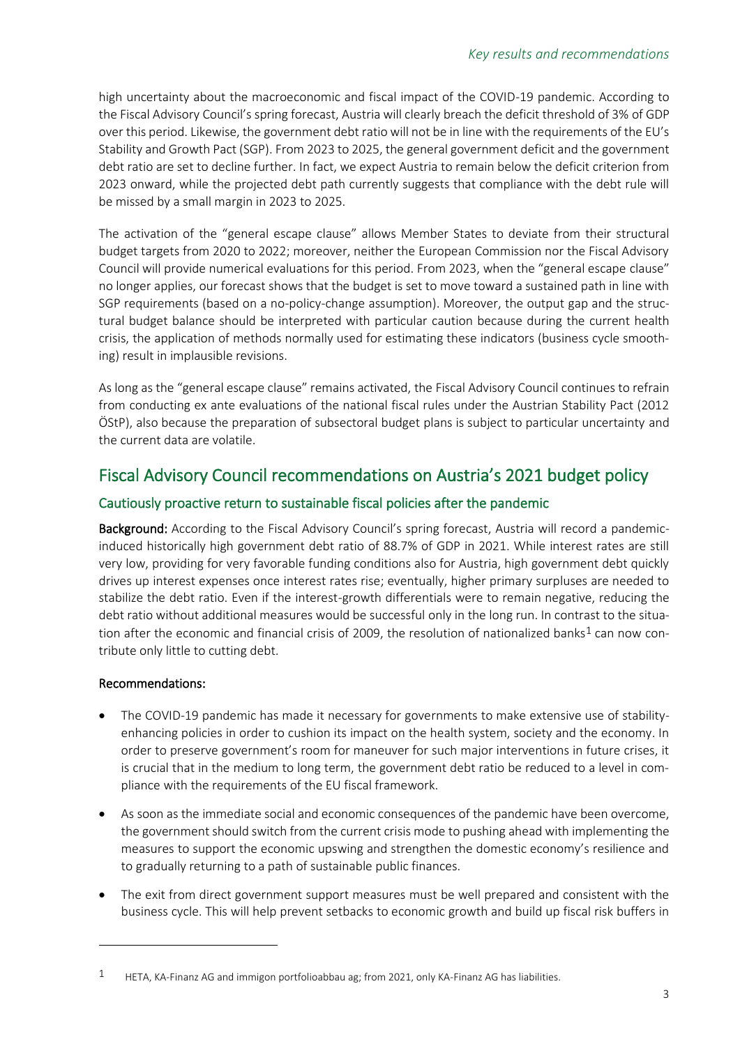high uncertainty about the macroeconomic and fiscal impact of the COVID-19 pandemic. According to the Fiscal Advisory Council's spring forecast, Austria will clearly breach the deficit threshold of 3% of GDP over this period. Likewise, the government debt ratio will not be in line with the requirements of the EU's Stability and Growth Pact (SGP). From 2023 to 2025, the general government deficit and the government debt ratio are set to decline further. In fact, we expect Austria to remain below the deficit criterion from 2023 onward, while the projected debt path currently suggests that compliance with the debt rule will be missed by a small margin in 2023 to 2025.

The activation of the "general escape clause" allows Member States to deviate from their structural budget targets from 2020 to 2022; moreover, neither the European Commission nor the Fiscal Advisory Council will provide numerical evaluations for this period. From 2023, when the "general escape clause" no longer applies, our forecast shows that the budget is set to move toward a sustained path in line with SGP requirements (based on a no-policy-change assumption). Moreover, the output gap and the structural budget balance should be interpreted with particular caution because during the current health crisis, the application of methods normally used for estimating these indicators (business cycle smoothing) result in implausible revisions.

As long as the "general escape clause" remains activated, the Fiscal Advisory Council continues to refrain from conducting ex ante evaluations of the national fiscal rules under the Austrian Stability Pact (2012 ÖStP), also because the preparation of subsectoral budget plans is subject to particular uncertainty and the current data are volatile.

## Fiscal Advisory Council recommendations on Austria's 2021 budget policy

## Cautiously proactive return to sustainable fiscal policies after the pandemic

Background: According to the Fiscal Advisory Council's spring forecast, Austria will record a pandemicinduced historically high government debt ratio of 88.7% of GDP in 2021. While interest rates are still very low, providing for very favorable funding conditions also for Austria, high government debt quickly drives up interest expenses once interest rates rise; eventually, higher primary surpluses are needed to stabilize the debt ratio. Even if the interest-growth differentials were to remain negative, reducing the debt ratio without additional measures would be successful only in the long run. In contrast to the situation after the economic and financial crisis of 2009, the resolution of nationalized banks<sup>1</sup> can now contribute only little to cutting debt.

## Recommendations:

- The COVID-19 pandemic has made it necessary for governments to make extensive use of stabilityenhancing policies in order to cushion its impact on the health system, society and the economy. In order to preserve government's room for maneuver for such major interventions in future crises, it is crucial that in the medium to long term, the government debt ratio be reduced to a level in compliance with the requirements of the EU fiscal framework.
- As soon as the immediate social and economic consequences of the pandemic have been overcome, the government should switch from the current crisis mode to pushing ahead with implementing the measures to support the economic upswing and strengthen the domestic economy's resilience and to gradually returning to a path of sustainable public finances.
- The exit from direct government support measures must be well prepared and consistent with the business cycle. This will help prevent setbacks to economic growth and build up fiscal risk buffers in

<sup>&</sup>lt;sup>1</sup> HETA, KA-Finanz AG and immigon portfolioabbau ag; from 2021, only KA-Finanz AG has liabilities.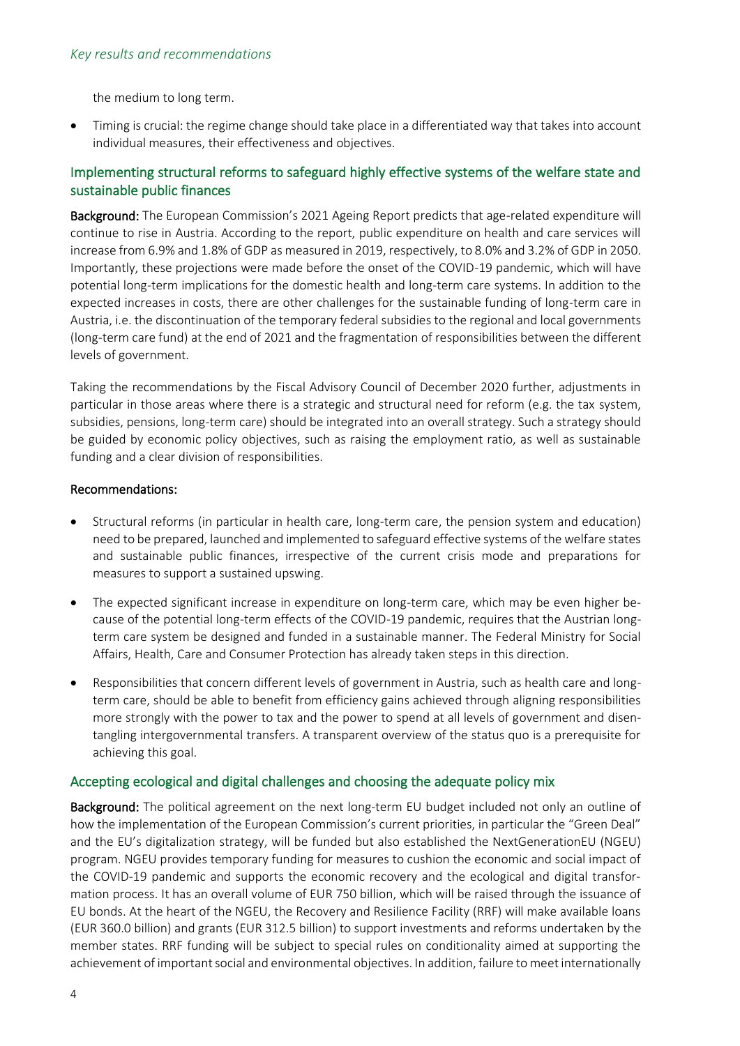the medium to long term.

• Timing is crucial: the regime change should take place in a differentiated way that takes into account individual measures, their effectiveness and objectives.

## Implementing structural reforms to safeguard highly effective systems of the welfare state and sustainable public finances

Background: The European Commission's 2021 Ageing Report predicts that age-related expenditure will continue to rise in Austria. According to the report, public expenditure on health and care services will increase from 6.9% and 1.8% of GDP as measured in 2019, respectively, to 8.0% and 3.2% of GDP in 2050. Importantly, these projections were made before the onset of the COVID-19 pandemic, which will have potential long-term implications for the domestic health and long-term care systems. In addition to the expected increases in costs, there are other challenges for the sustainable funding of long-term care in Austria, i.e. the discontinuation of the temporary federal subsidies to the regional and local governments (long-term care fund) at the end of 2021 and the fragmentation of responsibilities between the different levels of government.

Taking the recommendations by the Fiscal Advisory Council of December 2020 further, adjustments in particular in those areas where there is a strategic and structural need for reform (e.g. the tax system, subsidies, pensions, long-term care) should be integrated into an overall strategy. Such a strategy should be guided by economic policy objectives, such as raising the employment ratio, as well as sustainable funding and a clear division of responsibilities.

#### Recommendations:

- Structural reforms (in particular in health care, long-term care, the pension system and education) need to be prepared, launched and implemented to safeguard effective systems of the welfare states and sustainable public finances, irrespective of the current crisis mode and preparations for measures to support a sustained upswing.
- The expected significant increase in expenditure on long-term care, which may be even higher because of the potential long-term effects of the COVID-19 pandemic, requires that the Austrian longterm care system be designed and funded in a sustainable manner. The Federal Ministry for Social Affairs, Health, Care and Consumer Protection has already taken steps in this direction.
- Responsibilities that concern different levels of government in Austria, such as health care and longterm care, should be able to benefit from efficiency gains achieved through aligning responsibilities more strongly with the power to tax and the power to spend at all levels of government and disentangling intergovernmental transfers. A transparent overview of the status quo is a prerequisite for achieving this goal.

#### Accepting ecological and digital challenges and choosing the adequate policy mix

Background: The political agreement on the next long-term EU budget included not only an outline of how the implementation of the European Commission's current priorities, in particular the "Green Deal" and the EU's digitalization strategy, will be funded but also established the NextGenerationEU (NGEU) program. NGEU provides temporary funding for measures to cushion the economic and social impact of the COVID-19 pandemic and supports the economic recovery and the ecological and digital transformation process. It has an overall volume of EUR 750 billion, which will be raised through the issuance of EU bonds. At the heart of the NGEU, the Recovery and Resilience Facility (RRF) will make available loans (EUR 360.0 billion) and grants (EUR 312.5 billion) to support investments and reforms undertaken by the member states. RRF funding will be subject to special rules on conditionality aimed at supporting the achievement of important social and environmental objectives. In addition, failure to meet internationally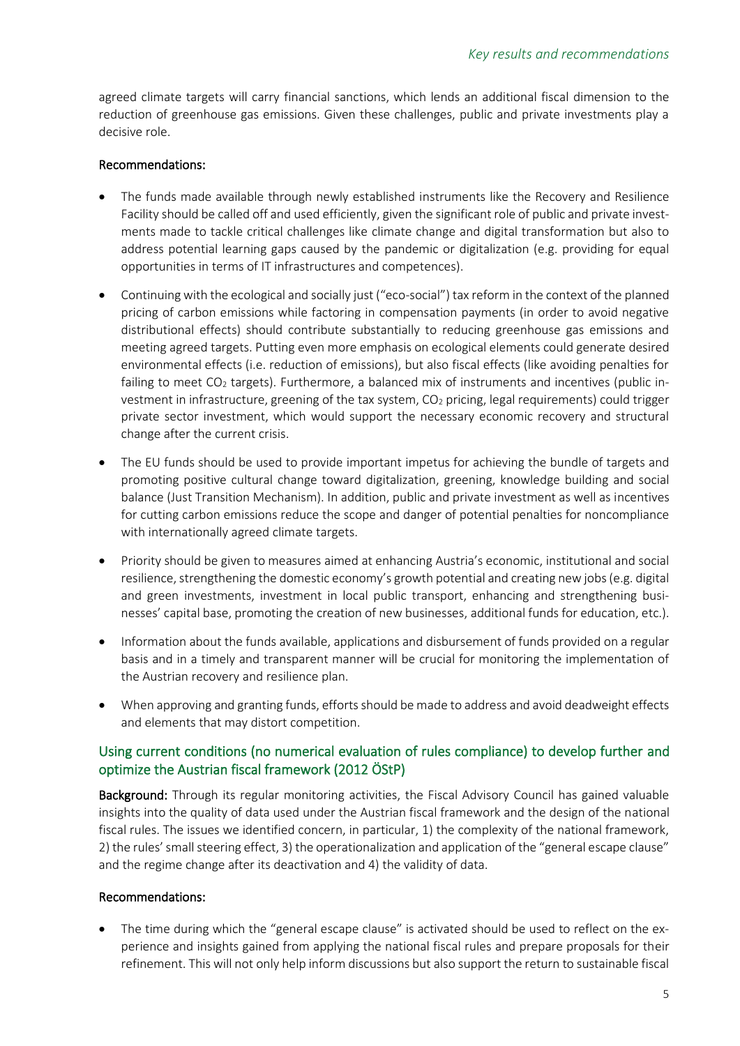agreed climate targets will carry financial sanctions, which lends an additional fiscal dimension to the reduction of greenhouse gas emissions. Given these challenges, public and private investments play a decisive role.

#### Recommendations:

- The funds made available through newly established instruments like the Recovery and Resilience Facility should be called off and used efficiently, given the significant role of public and private investments made to tackle critical challenges like climate change and digital transformation but also to address potential learning gaps caused by the pandemic or digitalization (e.g. providing for equal opportunities in terms of IT infrastructures and competences).
- Continuing with the ecological and socially just ("eco-social") tax reform in the context of the planned pricing of carbon emissions while factoring in compensation payments (in order to avoid negative distributional effects) should contribute substantially to reducing greenhouse gas emissions and meeting agreed targets. Putting even more emphasis on ecological elements could generate desired environmental effects (i.e. reduction of emissions), but also fiscal effects (like avoiding penalties for failing to meet  $CO<sub>2</sub>$  targets). Furthermore, a balanced mix of instruments and incentives (public investment in infrastructure, greening of the tax system,  $CO<sub>2</sub>$  pricing, legal requirements) could trigger private sector investment, which would support the necessary economic recovery and structural change after the current crisis.
- The EU funds should be used to provide important impetus for achieving the bundle of targets and promoting positive cultural change toward digitalization, greening, knowledge building and social balance (Just Transition Mechanism). In addition, public and private investment as well as incentives for cutting carbon emissions reduce the scope and danger of potential penalties for noncompliance with internationally agreed climate targets.
- Priority should be given to measures aimed at enhancing Austria's economic, institutional and social resilience, strengthening the domestic economy's growth potential and creating new jobs (e.g. digital and green investments, investment in local public transport, enhancing and strengthening businesses' capital base, promoting the creation of new businesses, additional funds for education, etc.).
- Information about the funds available, applications and disbursement of funds provided on a regular basis and in a timely and transparent manner will be crucial for monitoring the implementation of the Austrian recovery and resilience plan.
- When approving and granting funds, efforts should be made to address and avoid deadweight effects and elements that may distort competition.

## Using current conditions (no numerical evaluation of rules compliance) to develop further and optimize the Austrian fiscal framework (2012 ÖStP)

Background: Through its regular monitoring activities, the Fiscal Advisory Council has gained valuable insights into the quality of data used under the Austrian fiscal framework and the design of the national fiscal rules. The issues we identified concern, in particular, 1) the complexity of the national framework, 2) the rules' small steering effect, 3) the operationalization and application of the "general escape clause" and the regime change after its deactivation and 4) the validity of data.

#### Recommendations:

The time during which the "general escape clause" is activated should be used to reflect on the experience and insights gained from applying the national fiscal rules and prepare proposals for their refinement. This will not only help inform discussions but also support the return to sustainable fiscal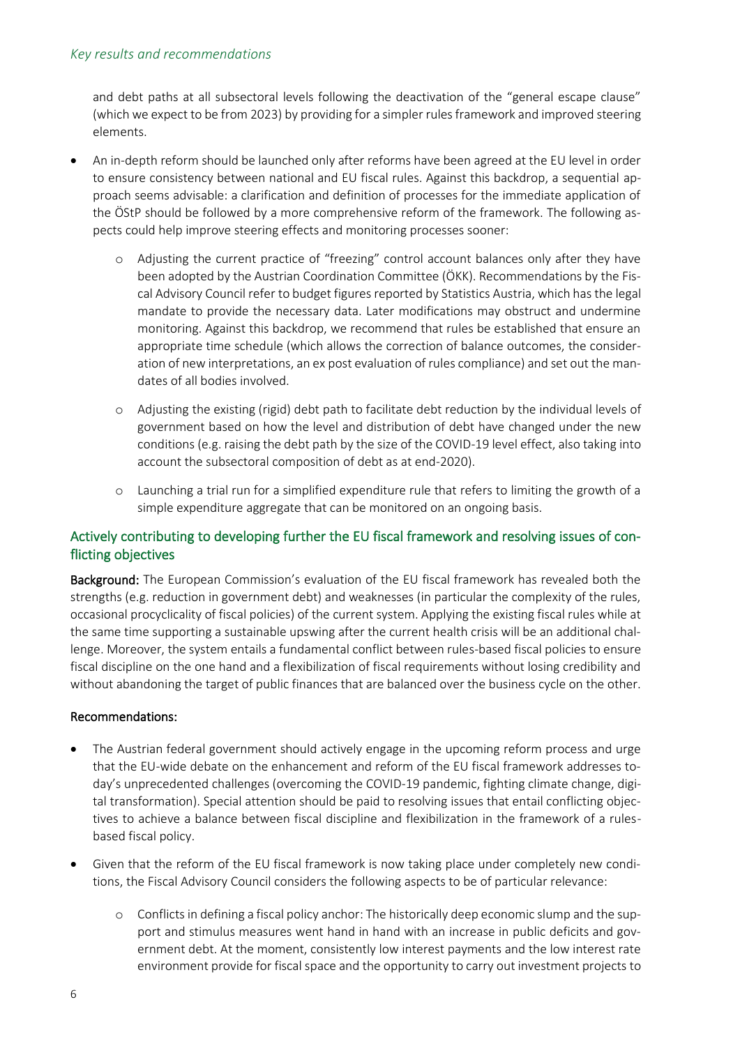and debt paths at all subsectoral levels following the deactivation of the "general escape clause" (which we expect to be from 2023) by providing for a simpler rules framework and improved steering elements.

- An in-depth reform should be launched only after reforms have been agreed at the EU level in order to ensure consistency between national and EU fiscal rules. Against this backdrop, a sequential approach seems advisable: a clarification and definition of processes for the immediate application of the ÖStP should be followed by a more comprehensive reform of the framework. The following aspects could help improve steering effects and monitoring processes sooner:
	- o Adjusting the current practice of "freezing" control account balances only after they have been adopted by the Austrian Coordination Committee (ÖKK). Recommendations by the Fiscal Advisory Council refer to budget figures reported by Statistics Austria, which has the legal mandate to provide the necessary data. Later modifications may obstruct and undermine monitoring. Against this backdrop, we recommend that rules be established that ensure an appropriate time schedule (which allows the correction of balance outcomes, the consideration of new interpretations, an ex post evaluation of rules compliance) and set out the mandates of all bodies involved.
	- o Adjusting the existing (rigid) debt path to facilitate debt reduction by the individual levels of government based on how the level and distribution of debt have changed under the new conditions (e.g. raising the debt path by the size of the COVID-19 level effect, also taking into account the subsectoral composition of debt as at end-2020).
	- o Launching a trial run for a simplified expenditure rule that refers to limiting the growth of a simple expenditure aggregate that can be monitored on an ongoing basis.

## Actively contributing to developing further the EU fiscal framework and resolving issues of conflicting objectives

Background: The European Commission's evaluation of the EU fiscal framework has revealed both the strengths (e.g. reduction in government debt) and weaknesses (in particular the complexity of the rules, occasional procyclicality of fiscal policies) of the current system. Applying the existing fiscal rules while at the same time supporting a sustainable upswing after the current health crisis will be an additional challenge. Moreover, the system entails a fundamental conflict between rules-based fiscal policies to ensure fiscal discipline on the one hand and a flexibilization of fiscal requirements without losing credibility and without abandoning the target of public finances that are balanced over the business cycle on the other.

#### Recommendations:

- The Austrian federal government should actively engage in the upcoming reform process and urge that the EU-wide debate on the enhancement and reform of the EU fiscal framework addresses today's unprecedented challenges (overcoming the COVID-19 pandemic, fighting climate change, digital transformation). Special attention should be paid to resolving issues that entail conflicting objectives to achieve a balance between fiscal discipline and flexibilization in the framework of a rulesbased fiscal policy.
- Given that the reform of the EU fiscal framework is now taking place under completely new conditions, the Fiscal Advisory Council considers the following aspects to be of particular relevance:
	- o Conflicts in defining a fiscal policy anchor: The historically deep economic slump and the support and stimulus measures went hand in hand with an increase in public deficits and government debt. At the moment, consistently low interest payments and the low interest rate environment provide for fiscal space and the opportunity to carry out investment projects to